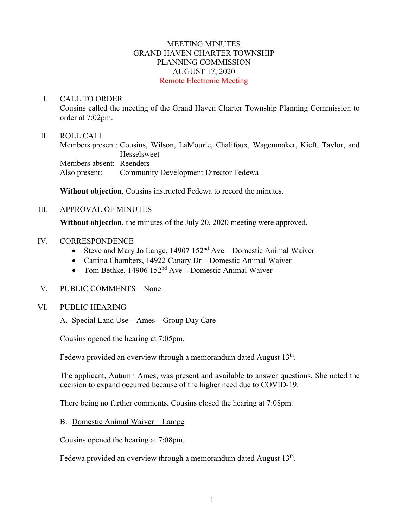## MEETING MINUTES GRAND HAVEN CHARTER TOWNSHIP PLANNING COMMISSION AUGUST 17, 2020 Remote Electronic Meeting

### I. CALL TO ORDER

Cousins called the meeting of the Grand Haven Charter Township Planning Commission to order at 7:02pm.

### II. ROLL CALL

Members present: Cousins, Wilson, LaMourie, Chalifoux, Wagenmaker, Kieft, Taylor, and Hesselsweet Members absent: Reenders Also present: Community Development Director Fedewa

**Without objection**, Cousins instructed Fedewa to record the minutes.

#### III. APPROVAL OF MINUTES

**Without objection**, the minutes of the July 20, 2020 meeting were approved.

#### IV. CORRESPONDENCE

- Steve and Mary Jo Lange,  $14907 152<sup>nd</sup>$  Ave Domestic Animal Waiver
- Catrina Chambers, 14922 Canary Dr Domestic Animal Waiver
- Tom Bethke, 14906 152<sup>nd</sup> Ave Domestic Animal Waiver

## V. PUBLIC COMMENTS – None

#### VI. PUBLIC HEARING

## A. Special Land Use – Ames – Group Day Care

Cousins opened the hearing at 7:05pm.

Fedewa provided an overview through a memorandum dated August  $13<sup>th</sup>$ .

The applicant, Autumn Ames, was present and available to answer questions. She noted the decision to expand occurred because of the higher need due to COVID-19.

There being no further comments, Cousins closed the hearing at 7:08pm.

## B. Domestic Animal Waiver – Lampe

Cousins opened the hearing at 7:08pm.

Fedewa provided an overview through a memorandum dated August  $13<sup>th</sup>$ .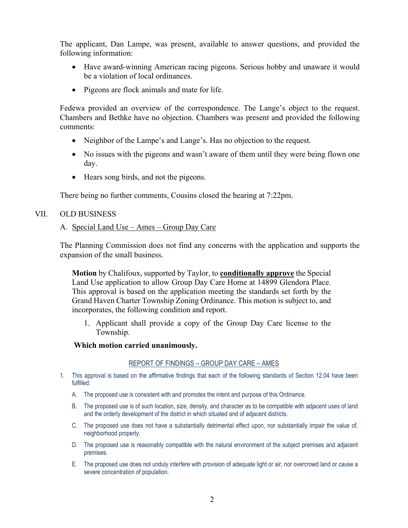The applicant, Dan Lampe, was present, available to answer questions, and provided the following information:

- Have award-winning American racing pigeons. Serious hobby and unaware it would be a violation of local ordinances.
- Pigeons are flock animals and mate for life.

Fedewa provided an overview of the correspondence. The Lange's object to the request. Chambers and Bethke have no objection. Chambers was present and provided the following comments:

- Neighbor of the Lampe's and Lange's. Has no objection to the request.
- No issues with the pigeons and wasn't aware of them until they were being flown one day.
- Hears song birds, and not the pigeons.

There being no further comments, Cousins closed the hearing at 7:22pm.

## VII. OLD BUSINESS

## A. Special Land Use – Ames – Group Day Care

The Planning Commission does not find any concerns with the application and supports the expansion of the small business.

**Motion** by Chalifoux, supported by Taylor, to **conditionally approve** the Special Land Use application to allow Group Day Care Home at 14899 Glendora Place. This approval is based on the application meeting the standards set forth by the Grand Haven Charter Township Zoning Ordinance. This motion is subject to, and incorporates, the following condition and report.

1. Applicant shall provide a copy of the Group Day Care license to the Township.

#### **Which motion carried unanimously.**

#### REPORT OF FINDINGS – GROUP DAY CARE – AMES

- 1. This approval is based on the affirmative findings that each of the following standards of Section 12.04 have been fulfilled:
	- A. The proposed use is consistent with and promotes the intent and purpose of this Ordinance.
	- B. The proposed use is of such location, size, density, and character as to be compatible with adjacent uses of land and the orderly development of the district in which situated and of adjacent districts.
	- C. The proposed use does not have a substantially detrimental effect upon, nor substantially impair the value of, neighborhood property.
	- D. The proposed use is reasonably compatible with the natural environment of the subject premises and adjacent premises.
	- E. The proposed use does not unduly interfere with provision of adequate light or air, nor overcrowd land or cause a severe concentration of population.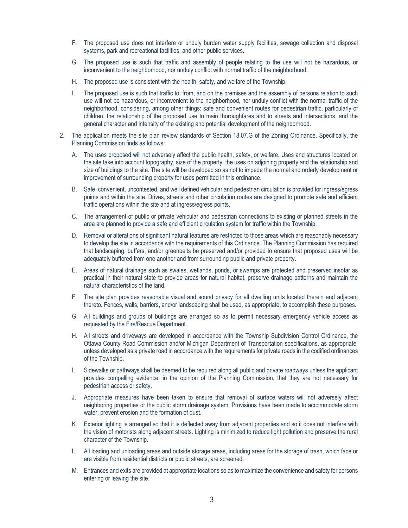- F. The proposed use does not interfere or unduly burden water supply facilities, sewage collection and disposal systems, park and recreational facilities, and other public services.
- G. The proposed use is such that traffic and assembly of people relating to the use will not be hazardous, or inconvenient to the neighborhood, nor unduly conflict with normal traffic of the neighborhood.
- H. The proposed use is consistent with the health, safety, and welfare of the Township.
- I. The proposed use is such that traffic to, from, and on the premises and the assembly of persons relation to such use will not be hazardous, or inconvenient to the neighborhood, nor unduly conflict with the normal traffic of the neighborhood, considering, among other things: safe and convenient routes for pedestrian traffic, particularly of children, the relationship of the proposed use to main thoroughfares and to streets and intersections, and the general character and intensity of the existing and potential development of the neighborhood.
- 2. The application meets the site plan review standards of Section 18.07.G of the Zoning Ordinance. Specifically, the Planning Commission finds as follows:
	- A. The uses proposed will not adversely affect the public health, safety, or welfare. Uses and structures located on the site take into account topography, size of the property, the uses on adjoining property and the relationship and size of buildings to the site. The site will be developed so as not to impede the normal and orderly development or improvement of surrounding property for uses permitted in this ordinance.
	- B. Safe, convenient, uncontested, and well defined vehicular and pedestrian circulation is provided for ingress/egress points and within the site. Drives, streets and other circulation routes are designed to promote safe and efficient traffic operations within the site and at ingress/egress points.
	- C. The arrangement of public or private vehicular and pedestrian connections to existing or planned streets in the area are planned to provide a safe and efficient circulation system for traffic within the Township.
	- D. Removal or alterations of significant natural features are restricted to those areas which are reasonably necessary to develop the site in accordance with the requirements of this Ordinance. The Planning Commission has required that landscaping, buffers, and/or greenbelts be preserved and/or provided to ensure that proposed uses will be adequately buffered from one another and from surrounding public and private property.
	- E. Areas of natural drainage such as swales, wetlands, ponds, or swamps are protected and preserved insofar as practical in their natural state to provide areas for natural habitat, preserve drainage patterns and maintain the natural characteristics of the land.
	- F. The site plan provides reasonable visual and sound privacy for all dwelling units located therein and adjacent thereto. Fences, walls, barriers, and/or landscaping shall be used, as appropriate, to accomplish these purposes.
	- G. All buildings and groups of buildings are arranged so as to permit necessary emergency vehicle access as requested by the Fire/Rescue Department.
	- H. All streets and driveways are developed in accordance with the Township Subdivision Control Ordinance, the Ottawa County Road Commission and/or Michigan Department of Transportation specifications, as appropriate, unless developed as a private road in accordance with the requirements for private roads in the codified ordinances of the Township.
	- I. Sidewalks or pathways shall be deemed to be required along all public and private roadways unless the applicant provides compelling evidence, in the opinion of the Planning Commission, that they are not necessary for pedestrian access or safety.
	- J. Appropriate measures have been taken to ensure that removal of surface waters will not adversely affect neighboring properties or the public storm drainage system. Provisions have been made to accommodate storm water, prevent erosion and the formation of dust.
	- K. Exterior lighting is arranged so that it is deflected away from adjacent properties and so it does not interfere with the vision of motorists along adjacent streets. Lighting is minimized to reduce light pollution and preserve the rural character of the Township.
	- L. All loading and unloading areas and outside storage areas, including areas for the storage of trash, which face or are visible from residential districts or public streets, are screened.
	- M. Entrances and exits are provided at appropriate locations so as to maximize the convenience and safety for persons entering or leaving the site.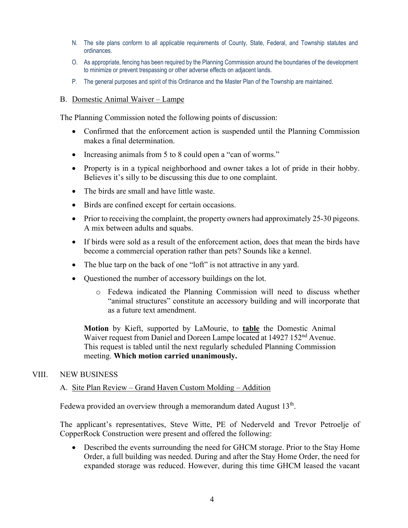- N. The site plans conform to all applicable requirements of County, State, Federal, and Township statutes and ordinances.
- O. As appropriate, fencing has been required by the Planning Commission around the boundaries of the development to minimize or prevent trespassing or other adverse effects on adjacent lands.
- P. The general purposes and spirit of this Ordinance and the Master Plan of the Township are maintained.
- B. Domestic Animal Waiver Lampe

The Planning Commission noted the following points of discussion:

- Confirmed that the enforcement action is suspended until the Planning Commission makes a final determination.
- Increasing animals from 5 to 8 could open a "can of worms."
- Property is in a typical neighborhood and owner takes a lot of pride in their hobby. Believes it's silly to be discussing this due to one complaint.
- The birds are small and have little waste.
- Birds are confined except for certain occasions.
- Prior to receiving the complaint, the property owners had approximately 25-30 pigeons. A mix between adults and squabs.
- If birds were sold as a result of the enforcement action, does that mean the birds have become a commercial operation rather than pets? Sounds like a kennel.
- The blue tarp on the back of one "loft" is not attractive in any yard.
- Questioned the number of accessory buildings on the lot.
	- o Fedewa indicated the Planning Commission will need to discuss whether "animal structures" constitute an accessory building and will incorporate that as a future text amendment.

**Motion** by Kieft, supported by LaMourie, to **table** the Domestic Animal Waiver request from Daniel and Doreen Lampe located at 14927 152<sup>nd</sup> Avenue. This request is tabled until the next regularly scheduled Planning Commission meeting. **Which motion carried unanimously.**

#### VIII. NEW BUSINESS

#### A. Site Plan Review – Grand Haven Custom Molding – Addition

Fedewa provided an overview through a memorandum dated August 13<sup>th</sup>.

The applicant's representatives, Steve Witte, PE of Nederveld and Trevor Petroelje of CopperRock Construction were present and offered the following:

• Described the events surrounding the need for GHCM storage. Prior to the Stay Home Order, a full building was needed. During and after the Stay Home Order, the need for expanded storage was reduced. However, during this time GHCM leased the vacant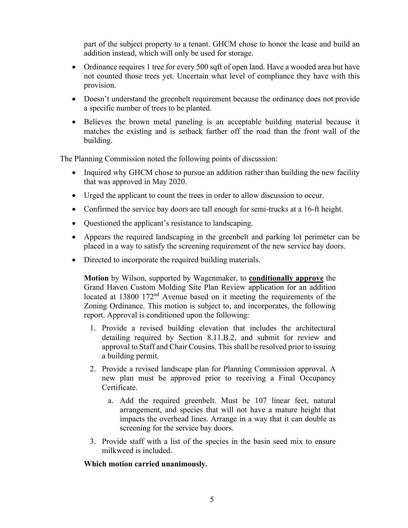part of the subject property to a tenant. GHCM chose to honor the lease and build an addition instead, which will only be used for storage.

- Ordinance requires 1 tree for every 500 sqft of open land. Have a wooded area but have not counted those trees yet. Uncertain what level of compliance they have with this provision.
- Doesn't understand the greenbelt requirement because the ordinance does not provide a specific number of trees to be planted.
- Believes the brown metal paneling is an acceptable building material because it matches the existing and is setback farther off the road than the front wall of the building.

The Planning Commission noted the following points of discussion:

- Inquired why GHCM chose to pursue an addition rather than building the new facility that was approved in May 2020.
- Urged the applicant to count the trees in order to allow discussion to occur.
- Confirmed the service bay doors are tall enough for semi-trucks at a 16-ft height.
- Questioned the applicant's resistance to landscaping.
- Appears the required landscaping in the greenbelt and parking lot perimeter can be placed in a way to satisfy the screening requirement of the new service bay doors.
- Directed to incorporate the required building materials.

**Motion** by Wilson, supported by Wagenmaker, to **conditionally approve** the Grand Haven Custom Molding Site Plan Review application for an addition located at 13800 172<sup>nd</sup> Avenue based on it meeting the requirements of the Zoning Ordinance. This motion is subject to, and incorporates, the following report. Approval is conditioned upon the following:

- 1. Provide a revised building elevation that includes the architectural detailing required by Section 8.11.B.2, and submit for review and approval to Staff and Chair Cousins. This shall be resolved prior to issuing a building permit.
- 2. Provide a revised landscape plan for Planning Commission approval. A new plan must be approved prior to receiving a Final Occupancy Certificate.
	- a. Add the required greenbelt. Must be 107 linear feet, natural arrangement, and species that will not have a mature height that impacts the overhead lines. Arrange in a way that it can double as screening for the service bay doors.
- 3. Provide staff with a list of the species in the basin seed mix to ensure milkweed is included.

# **Which motion carried unanimously.**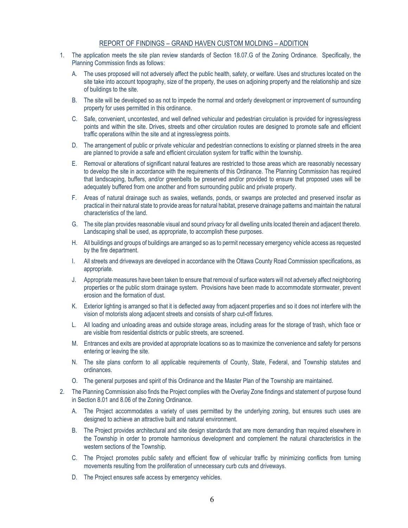#### REPORT OF FINDINGS – GRAND HAVEN CUSTOM MOLDING – ADDITION

- 1. The application meets the site plan review standards of Section 18.07.G of the Zoning Ordinance. Specifically, the Planning Commission finds as follows:
	- A. The uses proposed will not adversely affect the public health, safety, or welfare. Uses and structures located on the site take into account topography, size of the property, the uses on adjoining property and the relationship and size of buildings to the site.
	- B. The site will be developed so as not to impede the normal and orderly development or improvement of surrounding property for uses permitted in this ordinance.
	- C. Safe, convenient, uncontested, and well defined vehicular and pedestrian circulation is provided for ingress/egress points and within the site. Drives, streets and other circulation routes are designed to promote safe and efficient traffic operations within the site and at ingress/egress points.
	- D. The arrangement of public or private vehicular and pedestrian connections to existing or planned streets in the area are planned to provide a safe and efficient circulation system for traffic within the township.
	- E. Removal or alterations of significant natural features are restricted to those areas which are reasonably necessary to develop the site in accordance with the requirements of this Ordinance. The Planning Commission has required that landscaping, buffers, and/or greenbelts be preserved and/or provided to ensure that proposed uses will be adequately buffered from one another and from surrounding public and private property.
	- F. Areas of natural drainage such as swales, wetlands, ponds, or swamps are protected and preserved insofar as practical in their natural state to provide areas for natural habitat, preserve drainage patterns and maintain the natural characteristics of the land.
	- G. The site plan provides reasonable visual and sound privacy for all dwelling units located therein and adjacent thereto. Landscaping shall be used, as appropriate, to accomplish these purposes.
	- H. All buildings and groups of buildings are arranged so as to permit necessary emergency vehicle access as requested by the fire department.
	- I. All streets and driveways are developed in accordance with the Ottawa County Road Commission specifications, as appropriate.
	- J. Appropriate measures have been taken to ensure that removal of surface waters will not adversely affect neighboring properties or the public storm drainage system. Provisions have been made to accommodate stormwater, prevent erosion and the formation of dust.
	- K. Exterior lighting is arranged so that it is deflected away from adjacent properties and so it does not interfere with the vision of motorists along adjacent streets and consists of sharp cut-off fixtures.
	- L. All loading and unloading areas and outside storage areas, including areas for the storage of trash, which face or are visible from residential districts or public streets, are screened.
	- M. Entrances and exits are provided at appropriate locations so as to maximize the convenience and safety for persons entering or leaving the site.
	- N. The site plans conform to all applicable requirements of County, State, Federal, and Township statutes and ordinances.
	- O. The general purposes and spirit of this Ordinance and the Master Plan of the Township are maintained.
- 2. The Planning Commission also finds the Project complies with the Overlay Zone findings and statement of purpose found in Section 8.01 and 8.06 of the Zoning Ordinance.
	- A. The Project accommodates a variety of uses permitted by the underlying zoning, but ensures such uses are designed to achieve an attractive built and natural environment.
	- B. The Project provides architectural and site design standards that are more demanding than required elsewhere in the Township in order to promote harmonious development and complement the natural characteristics in the western sections of the Township.
	- C. The Project promotes public safety and efficient flow of vehicular traffic by minimizing conflicts from turning movements resulting from the proliferation of unnecessary curb cuts and driveways.
	- D. The Project ensures safe access by emergency vehicles.